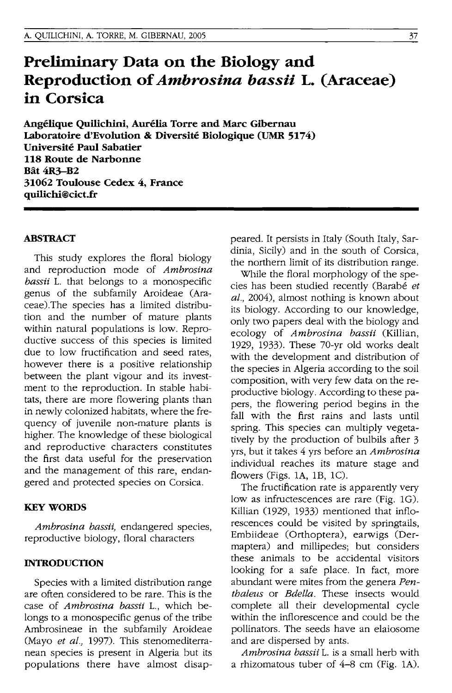# **Preliminary Data on the Biology and Reproduction of** *Ambrosina bassii* **L. (Araceae) in Corsica**

Angélique Quilichini, Aurélia Torre and Marc Gibernau **Laboratoire d'Evolution & Diversite Biologique (UMR 5174) Universite Paul Sabatier 118 Route de Narbonne Bat 4R3-B2 31062 Toulouse Cedex 4, France quilichi@cict.fr** 

## **ABSTRACT**

This study explores the floral biology and reproduction mode of *Ambrosina bassii* L. that belongs to a monospecific genus of the subfamily Aroideae (Araceae).The species has a limited distribution and the number of mature plants within natural populations is low. Reproductive success of this species is limited due to low fructification and seed rates, however there is a positive relationship between the plant vigour and its investment to the reproduction. In stable habitats, there are more flowering plants than in newly colonized habitats, where the frequency of juvenile non-mature plants is higher. The knowledge of these biological and reproductive characters constitutes the first data useful for the preservation and the management of this rare, endangered and protected species on Corsica.

## **KEY WORDS**

*Ambrosina bassii,* endangered species, reproductive biology, floral characters

#### **INTRODUCTION**

Species with a limited distribution range are often considered to be rare. This is the case of *Ambrosina bassii* L., which belongs to a monospecific genus of the tribe Ambrosineae in the subfamily Aroideae (Mayo *et at.,* 1997). This stenomediterranean species is present in Algeria but its populations there have almost disappeared. It persists in Italy (South Italy, Sardinia, Sicily) and in the south of Corsica, the northern limit of its distribution range.

While the floral morphology of the species has been studied recently (Barabé et *at.,* 2004), almost nothing is known about its biology. According to our knowledge, only two papers deal with the biology and ecology of *Ambrosina bassii* (Killian, 1929, 1933). These 70-yr old works dealt with the development and distribution of the species in Algeria according to the soil composition, with very few data on the reproductive biology. According to these papers, the flowering period begins in the fall with the first rains and lasts until spring. This species can multiply vegetatively by the production of bulbils after 3 yrs, but it takes 4 yrs before an *Ambrosina*  individual reaches its mature stage and flowers (Figs. lA, lB, 1C).

The fructification rate is apparently very low as infructescences are rare (Fig. 1G). Killian (1929, 1933) mentioned that inflorescences could be visited by springtails, Embiideae (Orthoptera), earwigs (Dermaptera) and millipedes; but considers these animals to be accidental visitors looking for a safe place. In fact, more abundant were mites from the genera Pen*thateus* or *Bdella.* These insects would complete all their developmental cycle within the inflorescence and could be the pollinators. The seeds have an elaiosome and are dispersed by ants.

*Ambrosina bassii* L. is a small herb with a rhizomatous tuber of 4-8 cm (Fig. 1A).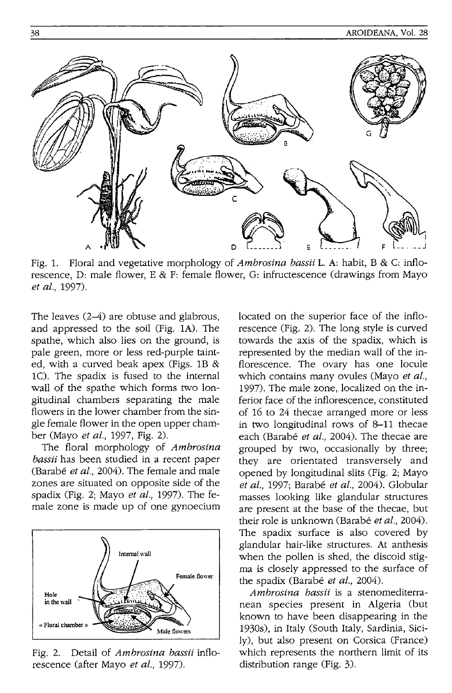

Fig, 1. Floral and vegetative morphology of *Ambrosina bassii* 1. A: habit, B & C: inflorescence, D: male flower, E & F: female flower, G: infructescence (drawings from Mayo *et at.,* 1997).

The leaves (2-4) are obtuse and glabrous, and appressed to the soil (Fig. 1A). The spathe, which also lies on the ground, is pale green, more or less red-purple tainted, with a curved beak apex (Figs. 18 & 1C). The spadix is fused to the internal wall of the spathe which forms two longitudinal chambers separating the male flowers in the lower chamber from the single female flower in the open upper chamber (Mayo *et at.,* 1997, Fig. 2).

The floral morphology of *Ambrosina bassii* has been studied in a recent paper (Barabe *et at.,* 2004). The female and male zones are situated on opposite side of the spadix (Fig. 2; Mayo *et at.,* 1997). The female zone is made up of one gynoecium



Fig. 2. Detail of *Ambrosina bassii* inflorescence (after Mayo *et* al., 1997).

located on the superior face of the inflorescence (Fig. 2). The long style is curved towards the' axis of the spadix, which is represented by the median wall of the inflorescence. The ovary has one locule which contains many ovules (Mayo *et at.,*  1997). The male zone, localized on the inferior face of the inflorescence, constituted of 16 to 24 thecae arranged more or less in two longitudinal rows of 8-11 thecae each (Barabé et al., 2004). The thecae are grouped by two, occasionally by three; they are orientated transversely and opened by longitudinal slits (Fig. 2; Mayo *et at.,* 1997; Barabe *et at.,* 2004). Globular masses looking like glandular structures are present at the base of the thecae, but their role is unknown (Barabé et al., 2004). The spadix surface is also covered by glandular hair-like structures. At anthesis when the pollen is shed, the discoid stigma is closely appressed to the surface of the spadix (Barabé *et al.*, 2004).

*Ambrosina bassii* is a stenomediterranean species present in Algeria (but known to have been disappearing in the 1930s), in Italy (South Italy, Sardinia, Sicily), but also present on Corsica (France) which represents the northern limit of its distribution range (Fig. 3).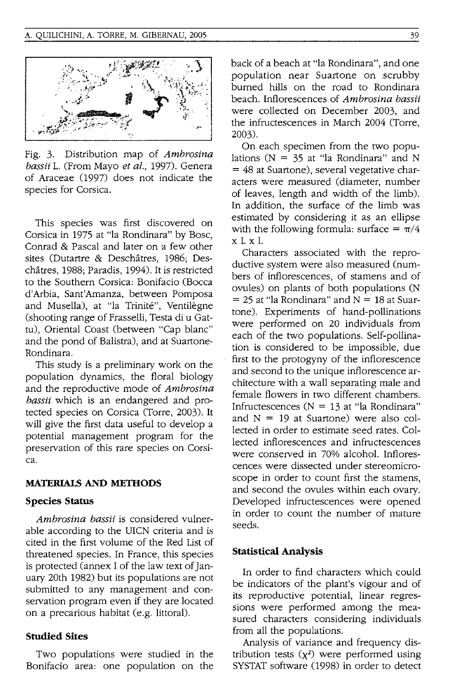

Fig. 3. Distribution map of *Ambrosina bassii* L. (From Mayo *et at.,* 1997). Genera of Araceae (1997) does not indicate the species for Corsica.

This species was first discovered on Corsica in 1975 at "la Rondinara" by Bosc, Conrad & Pascal and later on a few other sites (Dutartre & Deschatres, 1986; Deschâtres, 1988; Paradis, 1994). It is restricted to the Southern Corsica: Bonifacio (Bocca d'Arbia, Sant'Arnanza, between Pomposa and Musella), at "la Trinité", Ventilègne (shooting range of Frasselli, Testa di u Gattu), Oriental Coast (between "Cap blanc" and the pond of Balistra), and at Suartone-Rondinara.

This study is a preliminary work on the population dynamicS, the floral biology and the reproductive mode of *Ambrosina bassii* which is an endangered and protected species on Corsica (Torre, 2003). It will give the first data useful to develop a potential management program for the preservation of this rare species on Corsica.

## **MATERIALS AND METHODS**

#### **Species Status**

*Ambrosina bassii* is considered vulnerable according to the UICN criteria and is cited in the first volume of the Red List of threatened species. In France, this species is protected (annex I of the law text of January 20th 1982) but its populations are not submitted to any management and conservation program even if they are located on a precarious habitat (e.g. littoral).

## **Studied Sites**

Two populations were studied in the Bonifacio area: one population on the back of a beach at "la Rondinara", and one population near Suartone on scrubby burned hills on the road to Rondinara beach. Inflorescences of *Ambrosina bassii*  were collected on December 2003, and the infructescences in March 2004 (Torre, 2003).

On each specimen from the two populations ( $N = 35$  at "la Rondinara" and N  $=$  48 at Suartone), several vegetative characters were measured (diameter, number of leaves, length and width of the limb). In addition, the surface of the limb was estimated by considering it as an ellipse with the following formula: surface  $= \pi/4$ xix I.

Characters associated with the reproductive system were also measured (numbers of inflorescences, of stamens and of ovules) on plants of both populations (N  $= 25$  at "la Rondinara" and  $N = 18$  at Suartone). Experiments of hand-pollinations were performed on 20 individuals from each of the two populations. Self-pollination is considered to be impossible, due first to the protogyny of the inflorescence and second to the unique inflorescence architecture with a wall separating male and female flowers in two different chambers. Infructescences ( $N = 13$  at "la Rondinara" and  $N = 19$  at Suartone) were also collected in order to estimate seed rates. Collected inflorescences and infructescences were conserved in 70% alcohol. Inflorescences were dissected under stereomicroscope in order to count first the stamens, and second the ovules within each ovary. Developed infructescences were opened in order to count the number of mature seeds.

## **Statistical Analysis**

In order to find characters which could be indicators of the plant's vigour and of its reproductive potential, linear regressions were performed among the measured characters considering individuals from all the populations.

Analysis of variance and frequency distribution tests  $(\chi^2)$  were performed using SYSTAT software (1998) in order to detect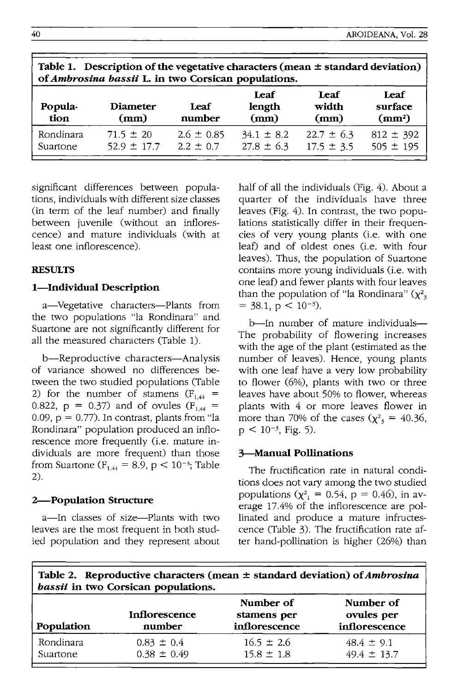| Table 1. Description of the vegetative characters (mean $\pm$ standard deviation)<br>of Ambrosina bassii L. in two Corsican populations. |                                  |                                 |                                  |                                  |                                       |  |  |
|------------------------------------------------------------------------------------------------------------------------------------------|----------------------------------|---------------------------------|----------------------------------|----------------------------------|---------------------------------------|--|--|
| Popula-<br>tion                                                                                                                          | <b>Diameter</b><br>(mm)          | Leaf<br>number                  | Leaf<br>length<br>(mm)           | Leaf<br>width<br>(mm)            | Leaf<br>surface<br>(mm <sup>2</sup> ) |  |  |
| Rondinara<br>Suartone                                                                                                                    | $71.5 \pm 20$<br>$52.9 \pm 17.7$ | $2.6 \pm 0.85$<br>$2.2 \pm 0.7$ | $34.1 \pm 8.2$<br>$27.8 \pm 6.3$ | $22.7 \pm 6.3$<br>$17.5 \pm 3.5$ | $812 \pm 392$<br>$505 \pm 195$        |  |  |

significant differences between populations, individuals with different size classes (in term of the leaf number) and finally between juvenile (without an inflorescence) and mature individuals (with at least one inflorescence).

# **RESULTS**

## **I-Individual Description**

a-Vegetative characters-Plants from the two populations "la Rondinara" and Suartone are not Significantly different for all the measured characters (Table 1).

b-Reproductive characters-Analysis of variance showed no differences between the two studied populations (Table 2) for the number of stamens  $(F_{1,44}$  = 0.822,  $p = 0.37$  and of ovules  $(F<sub>1.44</sub> =$ 0.09,  $p = 0.77$ ). In contrast, plants from "la Rondinara" population produced an inflorescence more frequently (i.e. mature individuals are more frequent) than those from Suartone ( $F_{1,44} = 8.9$ ,  $p < 10^{-3}$ ; Table 2).

## **2-Population Structure**

a-In classes of size-Plants with two leaves are the most frequent in both studied population and they represent about half of all the individuals (Fig. 4). About a quarter of the individuals have three leaves (Fig. 4). In contrast, the two populations statistically differ in their frequencies of very young plants (i.e. with one leaf) and of oldest ones (i.e. with four leaves). Thus, the population of Suartone contains more young individuals (i.e. with one leaf) and fewer plants with four leaves than the population of "la Rondinara"  $(\chi^2)$  $=$  38.1,  $p < 10^{-3}$ ).

b-In number of mature individuals-The probability of flowering increases with the age of the plant (estimated as the number of leaves). Hence, young plants with one leaf have a very low probability to flower (6%), plants with two or three leaves have about 50% to flower, whereas plants with 4 or more leaves flower in more than 70% of the cases  $(\chi^2$ <sub>3</sub> = 40.36,  $p < 10^{-3}$ , Fig. 5).

# **3-Manual Pollinations**

The fructification rate in natural conditions does not vary among the two studied populations ( $\chi^{2}$ <sub>1</sub> = 0.54, p = 0.46), in average 17.4% of the inflorescence are pollinated and produce a mature infructescence (Table 3). The fructification rate after hand-pollination is higher (26%) than

| Table 2. Reproductive characters (mean $\pm$ standard deviation) of <i>Ambrosina</i> |
|--------------------------------------------------------------------------------------|
| <i>bassii</i> in two Corsican populations.                                           |

| Population | Inflorescence<br>number | Number of<br>stamens per<br>inflorescence | Number of<br>ovules per<br>inflorescence |
|------------|-------------------------|-------------------------------------------|------------------------------------------|
| Rondinara  | $0.83 \pm 0.4$          | $16.5 \pm 2.6$                            | $48.4 \pm 9.1$                           |
| Suartone   | $0.38 \pm 0.49$         | $15.8 \pm 1.8$                            | $49.4 \pm 13.7$                          |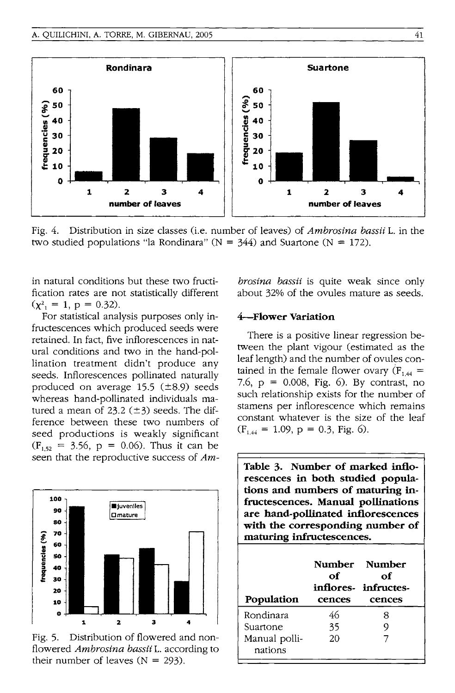

Fig. 4. Distribution in size classes (Le. number of leaves) of *Ambrosina bassii* L. in the two studied populations "la Rondinara" ( $N = 344$ ) and Suartone ( $N = 172$ ).

in natural conditions but these two fructification rates are not statistically different  $(\chi^2$ , = 1, p = 0.32).

For statistical analysis purposes only infructescences which produced seeds were retained. In fact, five inflorescences in natural conditions and two in the hand-pollination treatment didn't produce any seeds. Inflorescences pollinated naturally produced on average  $15.5$  ( $\pm 8.9$ ) seeds whereas hand-pollinated individuals matured a mean of  $23.2$  ( $\pm$ 3) seeds. The difference between these two numbers of seed productions is weakly significant  $(F_{1.52} = 3.56, p = 0.06)$ . Thus it can be seen that the reproductive success of *Am-*



Fig. 5. Distribution of flowered and nonflowered *Ambrosina bassii* L. according to their number of leaves  $(N = 293)$ .

*brosina bassii* is quite weak since only about 32% of the ovules mature as seeds.

## 4--Flower Variation

There is a positive linear regression between the plant vigour (estimated as the leaf length) and the number of ovules contained in the female flower ovary  $(F_{1,44} =$ 7.6,  $p = 0.008$ , Fig. 6). By contrast, no such relationship exists for the number of stamens per inflorescence which remains constant whatever is the size of the leaf  $(F<sub>1.44</sub> = 1.09, p = 0.3, Fig. 6).$ 

| Table 3. Number of marked inflo-<br>rescences in both studied popula-<br>tions and numbers of maturing in-<br>fructescences. Manual pollinations<br>are hand-pollinated inflorescences<br>with the corresponding number of<br>maturing infructescences. |              |                                      |  |  |  |
|---------------------------------------------------------------------------------------------------------------------------------------------------------------------------------------------------------------------------------------------------------|--------------|--------------------------------------|--|--|--|
|                                                                                                                                                                                                                                                         | Number       | <b>Number</b>                        |  |  |  |
| Population                                                                                                                                                                                                                                              | оf<br>cences | of<br>inflores- infructes-<br>cences |  |  |  |